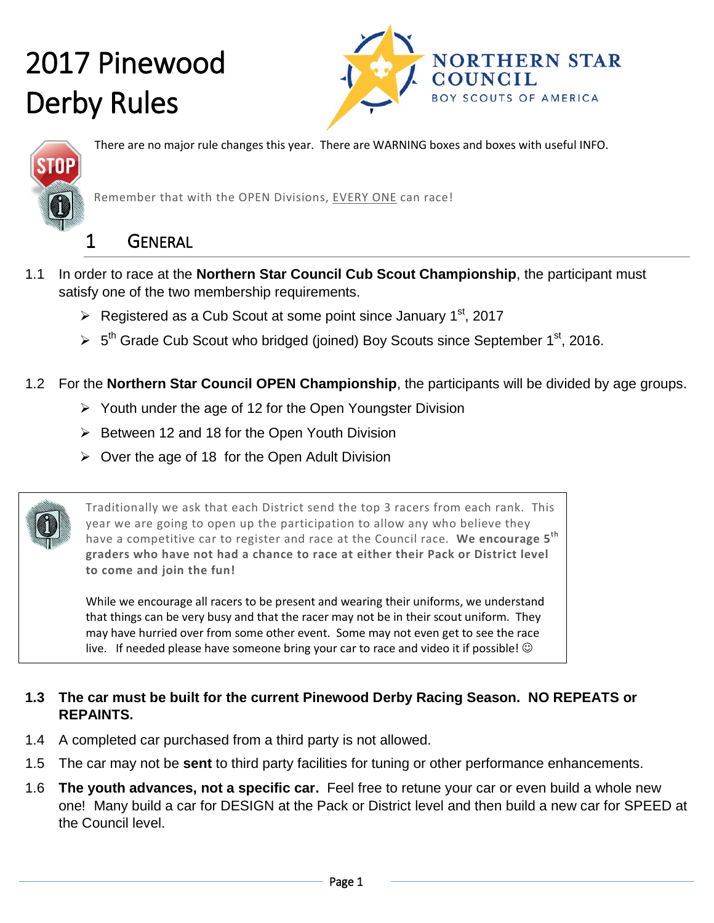



There are no major rule changes this year. There are WARNING boxes and boxes with useful INFO.

Remember that with the OPEN Divisions, EVERY ONE can race!

#### 1 GENERAL

- 1.1 In order to race at the **Northern Star Council Cub Scout Championship**, the participant must satisfy one of the two membership requirements.
	- $\triangleright$  Registered as a Cub Scout at some point since January 1<sup>st</sup>, 2017
	- $5<sup>th</sup>$  Grade Cub Scout who bridged (joined) Boy Scouts since September 1<sup>st</sup>, 2016.
- 1.2 For the **Northern Star Council OPEN Championship**, the participants will be divided by age groups.
	- $\triangleright$  Youth under the age of 12 for the Open Youngster Division
	- $\triangleright$  Between 12 and 18 for the Open Youth Division
	- $\triangleright$  Over the age of 18 for the Open Adult Division

Traditionally we ask that each District send the top 3 racers from each rank. This year we are going to open up the participation to allow any who believe they have a competitive car to register and race at the Council race. **We encourage 5th graders who have not had a chance to race at either their Pack or District level to come and join the fun!** 

While we encourage all racers to be present and wearing their uniforms, we understand that things can be very busy and that the racer may not be in their scout uniform. They may have hurried over from some other event. Some may not even get to see the race live. If needed please have someone bring your car to race and video it if possible!  $\odot$ 

#### **1.3 The car must be built for the current Pinewood Derby Racing Season. NO REPEATS or REPAINTS.**

- 1.4 A completed car purchased from a third party is not allowed.
- 1.5 The car may not be **sent** to third party facilities for tuning or other performance enhancements.
- 1.6 **The youth advances, not a specific car.** Feel free to retune your car or even build a whole new one! Many build a car for DESIGN at the Pack or District level and then build a new car for SPEED at the Council level.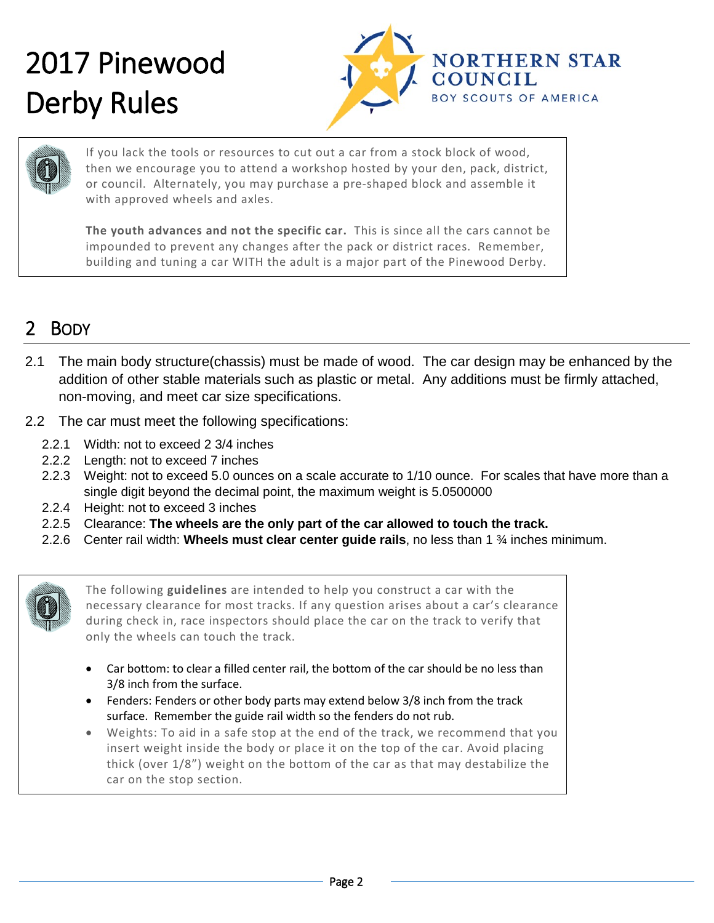



If you lack the tools or resources to cut out a car from a stock block of wood, then we encourage you to attend a workshop hosted by your den, pack, district, or council. Alternately, you may purchase a pre-shaped block and assemble it with approved wheels and axles.

**The youth advances and not the specific car.** This is since all the cars cannot be impounded to prevent any changes after the pack or district races. Remember, building and tuning a car WITH the adult is a major part of the Pinewood Derby.

#### 2 BODY

- 2.1 The main body structure(chassis) must be made of wood. The car design may be enhanced by the addition of other stable materials such as plastic or metal. Any additions must be firmly attached, non-moving, and meet car size specifications.
- 2.2 The car must meet the following specifications:
	- 2.2.1 Width: not to exceed 2 3/4 inches
	- 2.2.2 Length: not to exceed 7 inches
	- 2.2.3 Weight: not to exceed 5.0 ounces on a scale accurate to 1/10 ounce. For scales that have more than a single digit beyond the decimal point, the maximum weight is 5.0500000
	- 2.2.4 Height: not to exceed 3 inches
	- 2.2.5 Clearance: **The wheels are the only part of the car allowed to touch the track.**
	- 2.2.6 Center rail width: **Wheels must clear center guide rails**, no less than 1 ¾ inches minimum.



The following **guidelines** are intended to help you construct a car with the necessary clearance for most tracks. If any question arises about a car's clearance during check in, race inspectors should place the car on the track to verify that only the wheels can touch the track.

- Car bottom: to clear a filled center rail, the bottom of the car should be no less than 3/8 inch from the surface.
- Fenders: Fenders or other body parts may extend below 3/8 inch from the track surface. Remember the guide rail width so the fenders do not rub.
- Weights: To aid in a safe stop at the end of the track, we recommend that you insert weight inside the body or place it on the top of the car. Avoid placing thick (over 1/8") weight on the bottom of the car as that may destabilize the car on the stop section.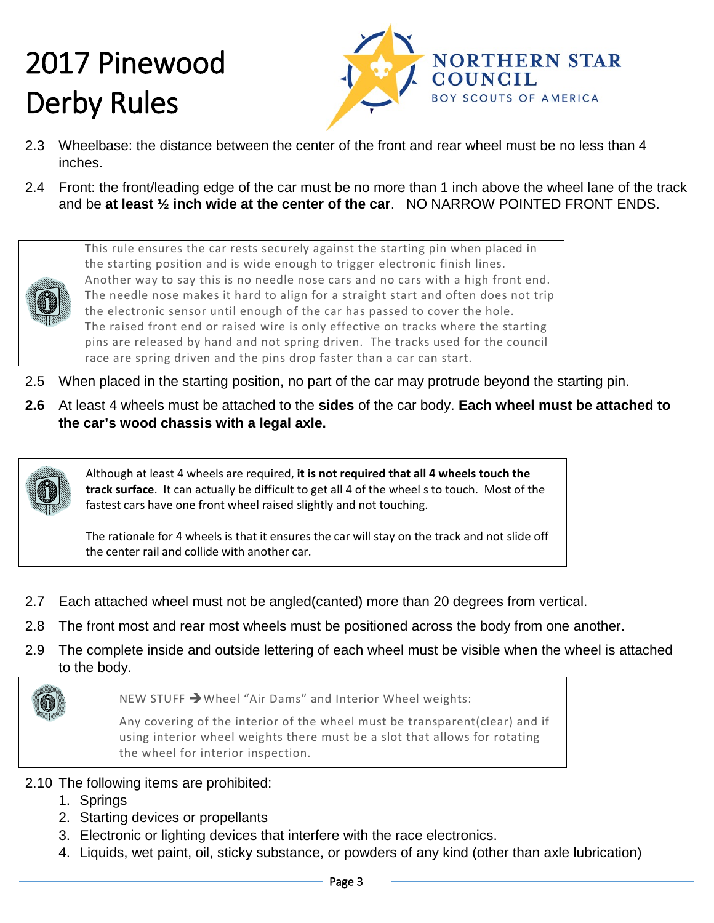

- 2.3 Wheelbase: the distance between the center of the front and rear wheel must be no less than 4 inches.
- 2.4 Front: the front/leading edge of the car must be no more than 1 inch above the wheel lane of the track and be **at least ½ inch wide at the center of the car**. NO NARROW POINTED FRONT ENDS.



This rule ensures the car rests securely against the starting pin when placed in the starting position and is wide enough to trigger electronic finish lines. Another way to say this is no needle nose cars and no cars with a high front end. The needle nose makes it hard to align for a straight start and often does not trip the electronic sensor until enough of the car has passed to cover the hole. The raised front end or raised wire is only effective on tracks where the starting pins are released by hand and not spring driven. The tracks used for the council race are spring driven and the pins drop faster than a car can start.

- 2.5 When placed in the starting position, no part of the car may protrude beyond the starting pin.
- **2.6** At least 4 wheels must be attached to the **sides** of the car body. **Each wheel must be attached to the car's wood chassis with a legal axle.**



Although at least 4 wheels are required, **it is not required that all 4 wheels touch the track surface**. It can actually be difficult to get all 4 of the wheel s to touch. Most of the fastest cars have one front wheel raised slightly and not touching.

The rationale for 4 wheels is that it ensures the car will stay on the track and not slide off the center rail and collide with another car.

- 2.7 Each attached wheel must not be angled(canted) more than 20 degrees from vertical.
- 2.8 The front most and rear most wheels must be positioned across the body from one another.
- 2.9 The complete inside and outside lettering of each wheel must be visible when the wheel is attached to the body.

NEW STUFF → Wheel "Air Dams" and Interior Wheel weights:

Any covering of the interior of the wheel must be transparent(clear) and if using interior wheel weights there must be a slot that allows for rotating the wheel for interior inspection.

- 2.10 The following items are prohibited:
	- 1. Springs
	- 2. Starting devices or propellants
	- 3. Electronic or lighting devices that interfere with the race electronics.
	- 4. Liquids, wet paint, oil, sticky substance, or powders of any kind (other than axle lubrication)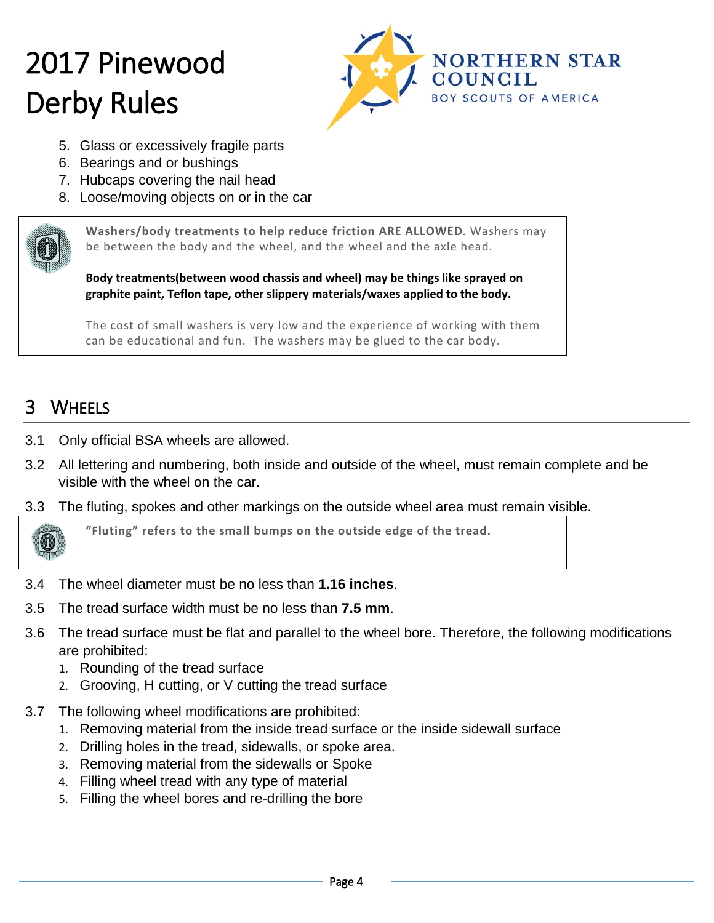

- 5. Glass or excessively fragile parts
- 6. Bearings and or bushings
- 7. Hubcaps covering the nail head
- 8. Loose/moving objects on or in the car



**Washers/body treatments to help reduce friction ARE ALLOWED**. Washers may be between the body and the wheel, and the wheel and the axle head.

**Body treatments(between wood chassis and wheel) may be things like sprayed on graphite paint, Teflon tape, other slippery materials/waxes applied to the body.**

The cost of small washers is very low and the experience of working with them can be educational and fun. The washers may be glued to the car body.

#### 3 WHEELS

- 3.1 Only official BSA wheels are allowed.
- 3.2 All lettering and numbering, both inside and outside of the wheel, must remain complete and be visible with the wheel on the car.
- 3.3 The fluting, spokes and other markings on the outside wheel area must remain visible.



**"Fluting" refers to the small bumps on the outside edge of the tread.**

- 3.4 The wheel diameter must be no less than **1.16 inches**.
- 3.5 The tread surface width must be no less than **7.5 mm**.
- 3.6 The tread surface must be flat and parallel to the wheel bore. Therefore, the following modifications are prohibited:
	- 1. Rounding of the tread surface
	- 2. Grooving, H cutting, or V cutting the tread surface
- 3.7 The following wheel modifications are prohibited:
	- 1. Removing material from the inside tread surface or the inside sidewall surface
	- 2. Drilling holes in the tread, sidewalls, or spoke area.
	- 3. Removing material from the sidewalls or Spoke
	- 4. Filling wheel tread with any type of material
	- 5. Filling the wheel bores and re-drilling the bore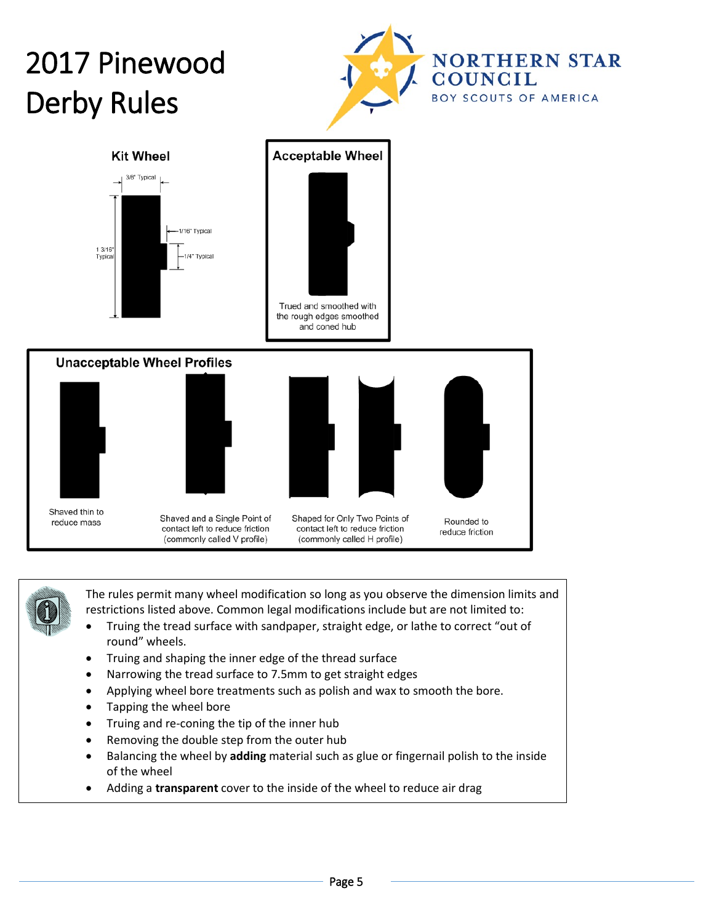





The rules permit many wheel modification so long as you observe the dimension limits and restrictions listed above. Common legal modifications include but are not limited to:

- Truing the tread surface with sandpaper, straight edge, or lathe to correct "out of round" wheels.
- Truing and shaping the inner edge of the thread surface
- Narrowing the tread surface to 7.5mm to get straight edges
- Applying wheel bore treatments such as polish and wax to smooth the bore.
- Tapping the wheel bore
- Truing and re-coning the tip of the inner hub
- Removing the double step from the outer hub
- Balancing the wheel by **adding** material such as glue or fingernail polish to the inside of the wheel
- Adding a **transparent** cover to the inside of the wheel to reduce air drag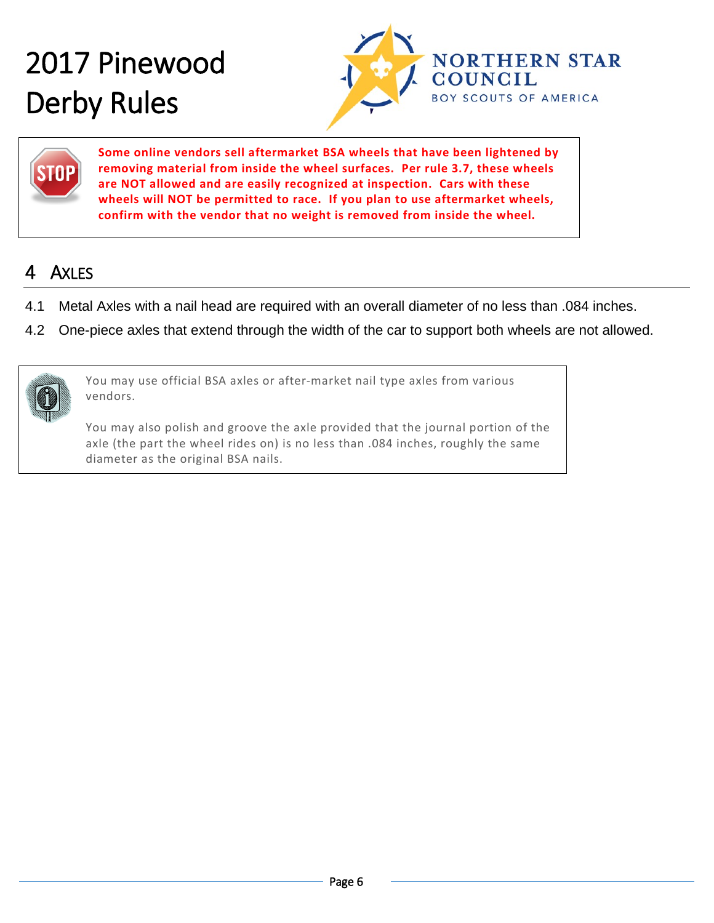



**Some online vendors sell aftermarket BSA wheels that have been lightened by removing material from inside the wheel surfaces. Per rule 3.7, these wheels are NOT allowed and are easily recognized at inspection. Cars with these wheels will NOT be permitted to race. If you plan to use aftermarket wheels, confirm with the vendor that no weight is removed from inside the wheel.** 

#### 4 AXLES

- 4.1 Metal Axles with a nail head are required with an overall diameter of no less than .084 inches.
- 4.2 One-piece axles that extend through the width of the car to support both wheels are not allowed.



You may use official BSA axles or after-market nail type axles from various vendors.

You may also polish and groove the axle provided that the journal portion of the axle (the part the wheel rides on) is no less than .084 inches, roughly the same diameter as the original BSA nails.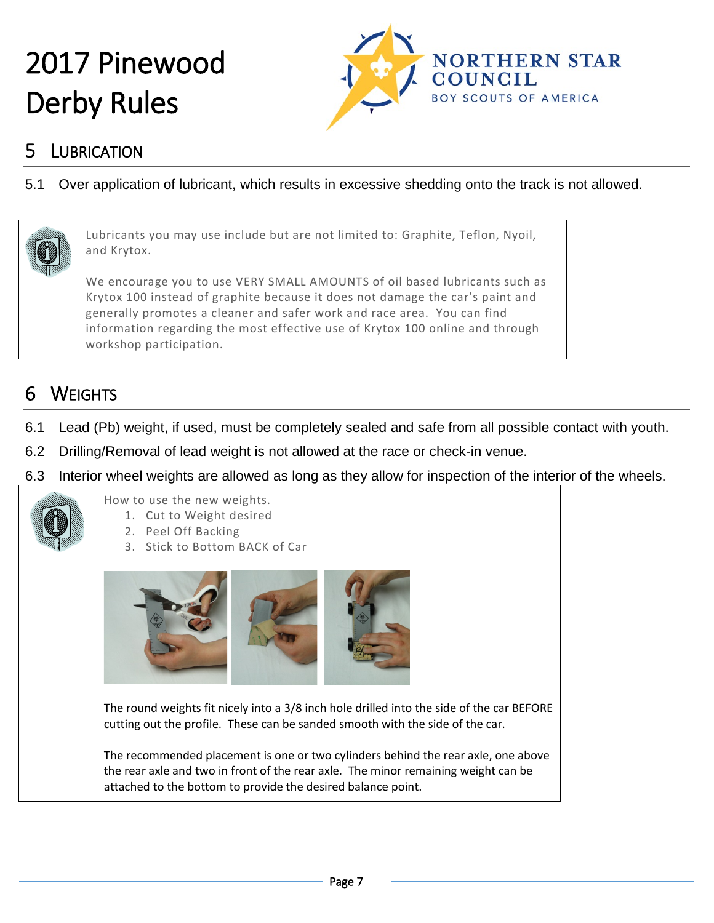

#### 5 LUBRICATION

5.1 Over application of lubricant, which results in excessive shedding onto the track is not allowed.



Lubricants you may use include but are not limited to: Graphite, Teflon, Nyoil, and Krytox.

We encourage you to use VERY SMALL AMOUNTS of oil based lubricants such as Krytox 100 instead of graphite because it does not damage the car's paint and generally promotes a cleaner and safer work and race area. You can find information regarding the most effective use of Krytox 100 online and through workshop participation.

### 6 WEIGHTS

- 6.1 Lead (Pb) weight, if used, must be completely sealed and safe from all possible contact with youth.
- 6.2 Drilling/Removal of lead weight is not allowed at the race or check-in venue.
- 6.3 Interior wheel weights are allowed as long as they allow for inspection of the interior of the wheels.



How to use the new weights.

- 1. Cut to Weight desired
- 2. Peel Off Backing
- 3. Stick to Bottom BACK of Car



The round weights fit nicely into a 3/8 inch hole drilled into the side of the car BEFORE cutting out the profile. These can be sanded smooth with the side of the car.

The recommended placement is one or two cylinders behind the rear axle, one above the rear axle and two in front of the rear axle. The minor remaining weight can be attached to the bottom to provide the desired balance point.